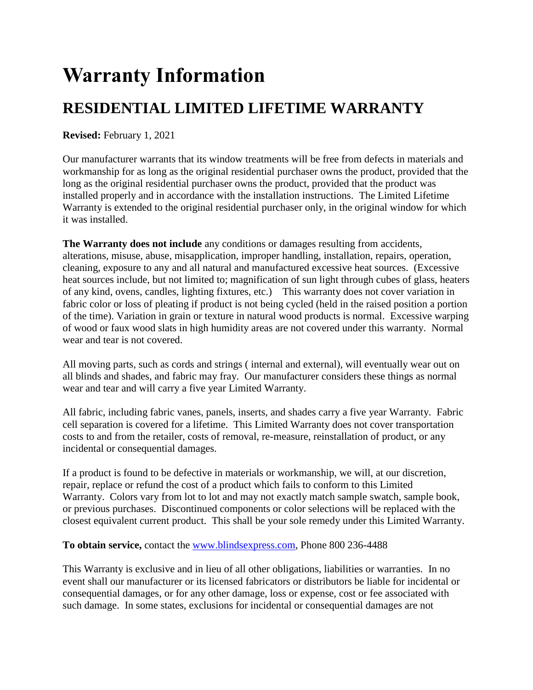# **Warranty Information**

# **RESIDENTIAL LIMITED LIFETIME WARRANTY**

**Revised:** February 1, 2021

Our manufacturer warrants that its window treatments will be free from defects in materials and workmanship for as long as the original residential purchaser owns the product, provided that the long as the original residential purchaser owns the product, provided that the product was installed properly and in accordance with the installation instructions. The Limited Lifetime Warranty is extended to the original residential purchaser only, in the original window for which it was installed.

**The Warranty does not include** any conditions or damages resulting from accidents, alterations, misuse, abuse, misapplication, improper handling, installation, repairs, operation, cleaning, exposure to any and all natural and manufactured excessive heat sources. (Excessive heat sources include, but not limited to; magnification of sun light through cubes of glass, heaters of any kind, ovens, candles, lighting fixtures, etc.) This warranty does not cover variation in fabric color or loss of pleating if product is not being cycled (held in the raised position a portion of the time). Variation in grain or texture in natural wood products is normal. Excessive warping of wood or faux wood slats in high humidity areas are not covered under this warranty. Normal wear and tear is not covered.

All moving parts, such as cords and strings ( internal and external), will eventually wear out on all blinds and shades, and fabric may fray. Our manufacturer considers these things as normal wear and tear and will carry a five year Limited Warranty.

All fabric, including fabric vanes, panels, inserts, and shades carry a five year Warranty. Fabric cell separation is covered for a lifetime. This Limited Warranty does not cover transportation costs to and from the retailer, costs of removal, re-measure, reinstallation of product, or any incidental or consequential damages.

If a product is found to be defective in materials or workmanship, we will, at our discretion, repair, replace or refund the cost of a product which fails to conform to this Limited Warranty. Colors vary from lot to lot and may not exactly match sample swatch, sample book, or previous purchases. Discontinued components or color selections will be replaced with the closest equivalent current product. This shall be your sole remedy under this Limited Warranty.

#### **To obtain service,** contact the [www.blindsexpress.com,](http://www.blindsexpress.com/) Phone 800 236-4488

This Warranty is exclusive and in lieu of all other obligations, liabilities or warranties. In no event shall our manufacturer or its licensed fabricators or distributors be liable for incidental or consequential damages, or for any other damage, loss or expense, cost or fee associated with such damage. In some states, exclusions for incidental or consequential damages are not